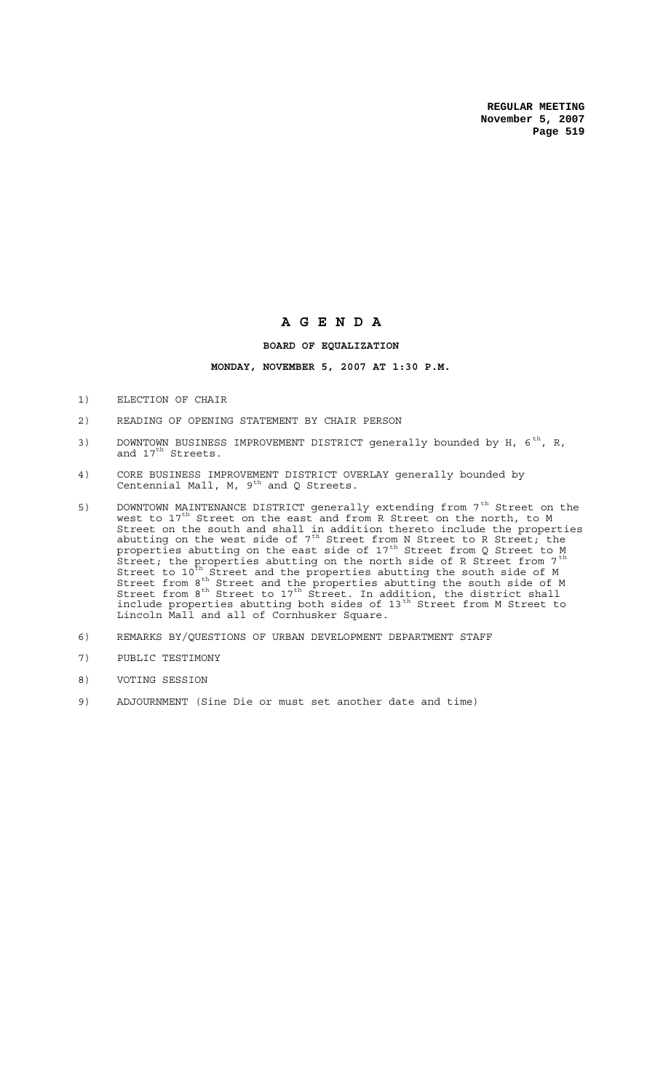## **A G E N D A**

## **BOARD OF EQUALIZATION**

## **MONDAY, NOVEMBER 5, 2007 AT 1:30 P.M.**

- 1) ELECTION OF CHAIR
- 2) READING OF OPENING STATEMENT BY CHAIR PERSON
- 3) DOWNTOWN BUSINESS IMPROVEMENT DISTRICT generally bounded by H,  $6<sup>th</sup>$ , R, and 17<sup>th</sup> Streets.
- 4) CORE BUSINESS IMPROVEMENT DISTRICT OVERLAY generally bounded by Centennial Mall, M,  $9^{th}$  and Q Streets.
- 5) DOWNTOWN MAINTENANCE DISTRICT generally extending from 7<sup>th</sup> Street on the west to  $17^{th}$  Street on the east and from R Street on the north, to M Street on the south and shall in addition thereto include the properties abutting on the west side of  $7^\text{th}$  Street from N Street to R Street; the properties abutting on the east side of 17<sup>th</sup> Street from Q Street to M .<br>Street; the properties abutting on the north side of R Street from 7<sup>th</sup> Street to  $10^{\text{th}}$  Street and the properties abutting the south side of M Street from  $8^{th}$  Street and the properties abutting the south side of M Street from  $8^{th}$  Street to 17<sup>th</sup> Street. In addition, the district shall include properties abutting both sides of 13<sup>th</sup> Street from M Street to Lincoln Mall and all of Cornhusker Square.
- 6) REMARKS BY/QUESTIONS OF URBAN DEVELOPMENT DEPARTMENT STAFF
- 7) PUBLIC TESTIMONY
- 8) VOTING SESSION
- 9) ADJOURNMENT (Sine Die or must set another date and time)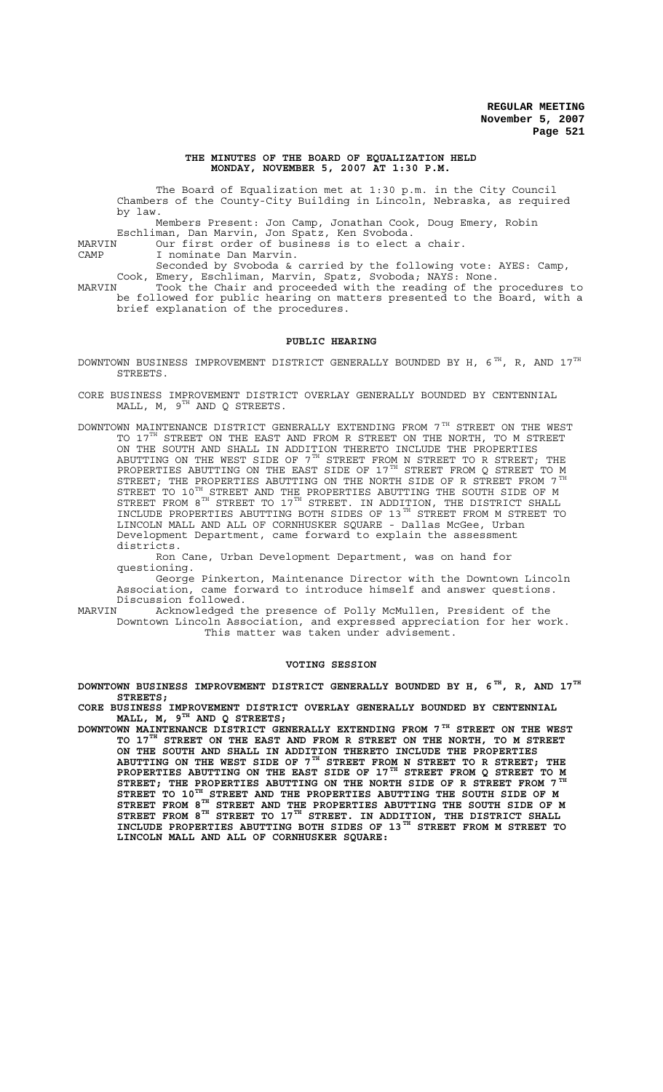#### **THE MINUTES OF THE BOARD OF EQUALIZATION HELD MONDAY, NOVEMBER 5, 2007 AT 1:30 P.M.**

The Board of Equalization met at 1:30 p.m. in the City Council Chambers of the County-City Building in Lincoln, Nebraska, as required by law.

Members Present: Jon Camp, Jonathan Cook, Doug Emery, Robin Eschliman, Dan Marvin, Jon Spatz, Ken Svoboda.

MARVIN Our first order of business is to elect a chair.

CAMP I nominate Dan Marvin.

Seconded by Svoboda & carried by the following vote: AYES: Camp, Cook, Emery, Eschliman, Marvin, Spatz, Svoboda; NAYS: None. MARVIN Took the Chair and proceeded with the reading of the procedures to be followed for public hearing on matters presented to the Board, with a

brief explanation of the procedures.

#### **PUBLIC HEARING**

DOWNTOWN BUSINESS IMPROVEMENT DISTRICT GENERALLY BOUNDED BY H,  $6^{TH}$ , R, AND  $17^{TH}$ STREETS.

CORE BUSINESS IMPROVEMENT DISTRICT OVERLAY GENERALLY BOUNDED BY CENTENNIAL MALL,  $M$ ,  $9^{TH}$  AND Q STREETS.

DOWNTOWN MAINTENANCE DISTRICT GENERALLY EXTENDING FROM  $7^{\,\mathrm{TH}}$  STREET ON THE WEST TO 17<sup>TH</sup> STREET ON THE EAST AND FROM R STREET ON THE NORTH, TO M STREET ON THE SOUTH AND SHALL IN ADDITION THERETO INCLUDE THE PROPERTIES ABUTTING ON THE WEST SIDE OF  $7^{TH}$  STREET FROM N STREET TO R STREET; ABUTTING ON THE WEST SIDE OF  $7^\mathrm{TH}$  STREET FROM N STREET TO R STREET; THE PROPERTIES ABUTTING ON THE EAST SIDE OF 17 $^{\text{\tiny{\textsf{TH}}}}$  STREET FROM Q STREET TO M STREET; THE PROPERTIES ABUTTING ON THE NORTH SIDE OF R STREET FROM 7<br>STREET TO 10<sup>TH</sup> STREET AND THE PROPERTIES ABUTTING THE SOUTH SIDE OF M STREET TO  $10^\text{\tiny{TH}}$  STREET AND THE PROPERTIES ABUTTING THE SOUTH SIDE OF M STREET FROM  $8^{TH}$  STREET TO  $17^{TH}$  STREET. IN ADDITION, THE DISTRICT SHALL INCLUDE PROPERTIES ABUTTING BOTH SIDES OF 13<sup>TH</sup> STREET FROM M STREET TO LINCOLN MALL AND ALL OF CORNHUSKER SQUARE - Dallas McGee, Urban Development Department, came forward to explain the assessment districts.

Ron Cane, Urban Development Department, was on hand for questioning.

George Pinkerton, Maintenance Director with the Downtown Lincoln Association, came forward to introduce himself and answer questions. Discussion followed.<br>MARVIN Acknowledged t

Acknowledged the presence of Polly McMullen, President of the Downtown Lincoln Association, and expressed appreciation for her work. This matter was taken under advisement.

#### **VOTING SESSION**

**DOWNTOWN BUSINESS IMPROVEMENT DISTRICT GENERALLY BOUNDED BY H, 6 TH, R, AND 17TH STREETS;**

CORE BUSINESS IMPROVEMENT DISTRICT OVERLAY GENERALLY BOUNDED BY CENTENNIAL MALL, M,  $9^{\text{TH}}$  and Q streets; **MALL, M, 9TH AND Q STREETS;**

**DOWNTOWN MAINTENANCE DISTRICT GENERALLY EXTENDING FROM 7TH STREET ON THE WEST TO 17TH STREET ON THE EAST AND FROM R STREET ON THE NORTH, TO M STREET ON THE SOUTH AND SHALL IN ADDITION THERETO INCLUDE THE PROPERTIES ABUTTING ON THE WEST SIDE OF 7TH STREET FROM N STREET TO R STREET; THE PROPERTIES ABUTTING ON THE EAST SIDE OF 17TH STREET FROM Q STREET TO M STREET; THE PROPERTIES ABUTTING ON THE NORTH SIDE OF R STREET FROM 7 TH** STREET TO 10<sup>TH</sup> STREET AND THE PROPERTIES ABUTTING THE SOUTH SIDE OF M<br>STREET FROM 8<sup>TH</sup> STREET AND THE PROPERTIES ABUTTING THE SOUTH SIDE OF M<br>STREET FROM 8<sup>TH</sup> STREET AND THE PROPERTIES ABUTTING THE SOUTH SIDE OF M **STREET FROM 8TH STREET AND THE PROPERTIES ABUTTING THE SOUTH SIDE OF M** STREET FROM 8<sup>TH</sup> STREET TO 17<sup>TH</sup> STREET. IN ADDITION, THE DISTRICT SHALL **INCLUDE PROPERTIES ABUTTING BOTH SIDES OF 13TH STREET FROM M STREET TO LINCOLN MALL AND ALL OF CORNHUSKER SQUARE:**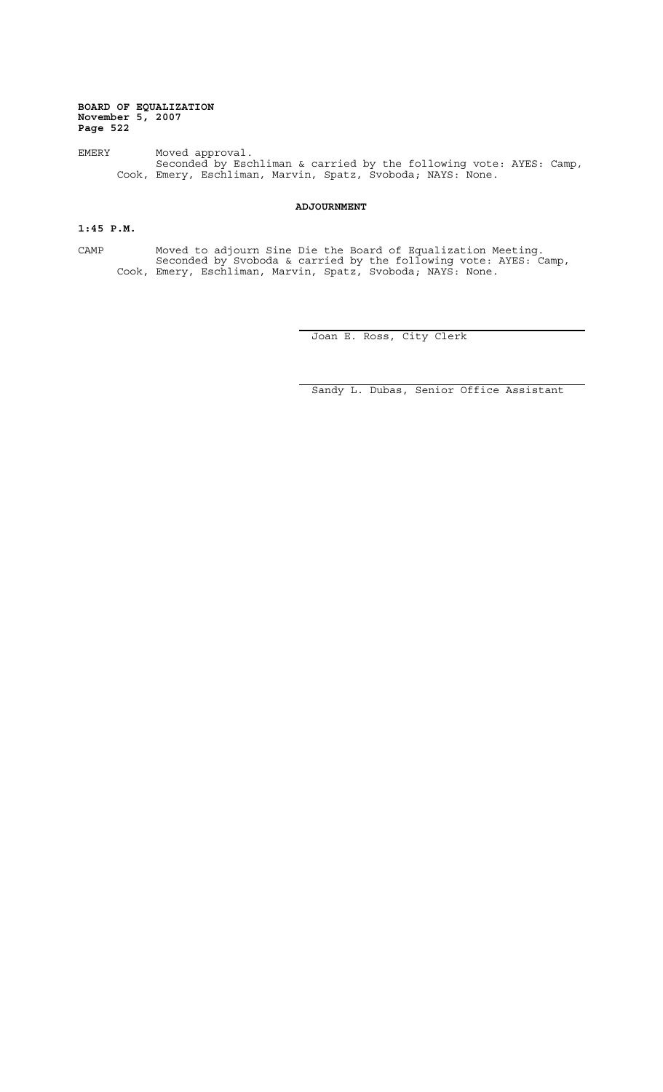EMERY Moved approval. Seconded by Eschliman & carried by the following vote: AYES: Camp, Cook, Emery, Eschliman, Marvin, Spatz, Svoboda; NAYS: None.

## **ADJOURNMENT**

## **1:45 P.M.**

CAMP Moved to adjourn Sine Die the Board of Equalization Meeting. Seconded by Svoboda & carried by the following vote: AYES: Camp, Cook, Emery, Eschliman, Marvin, Spatz, Svoboda; NAYS: None.

Joan E. Ross, City Clerk

Sandy L. Dubas, Senior Office Assistant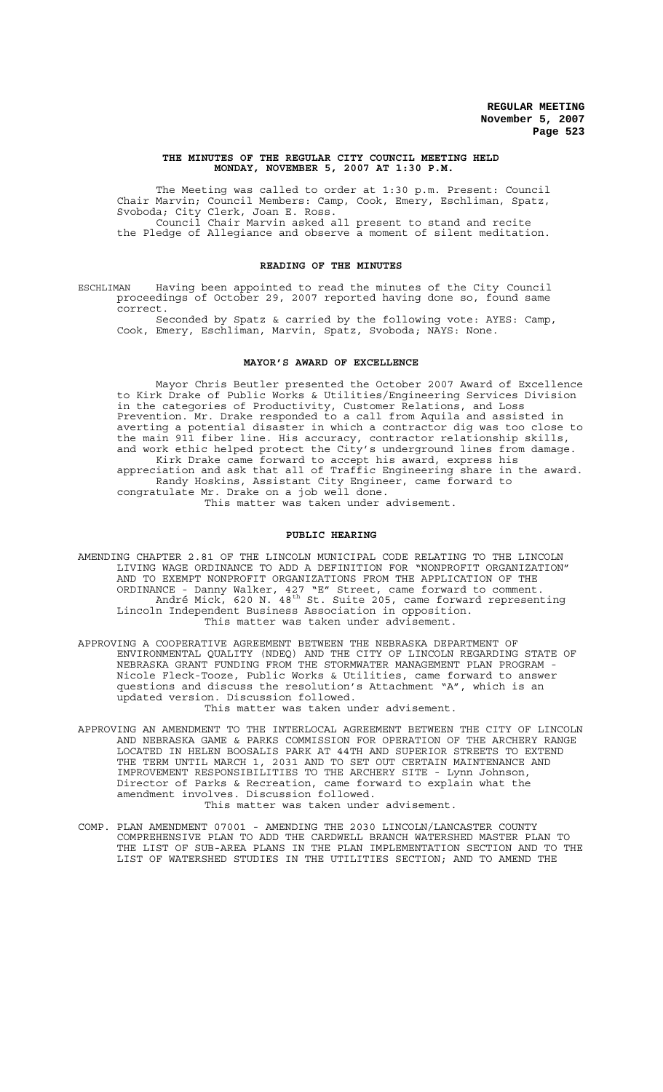#### **THE MINUTES OF THE REGULAR CITY COUNCIL MEETING HELD MONDAY, NOVEMBER 5, 2007 AT 1:30 P.M.**

The Meeting was called to order at 1:30 p.m. Present: Council Chair Marvin; Council Members: Camp, Cook, Emery, Eschliman, Spatz, Svoboda; City Clerk, Joan E. Ross. Council Chair Marvin asked all present to stand and recite the Pledge of Allegiance and observe a moment of silent meditation.

### **READING OF THE MINUTES**

ESCHLIMAN Having been appointed to read the minutes of the City Council proceedings of October 29, 2007 reported having done so, found same correct.

Seconded by Spatz & carried by the following vote: AYES: Camp, Cook, Emery, Eschliman, Marvin, Spatz, Svoboda; NAYS: None.

#### **MAYOR'S AWARD OF EXCELLENCE**

Mayor Chris Beutler presented the October 2007 Award of Excellence to Kirk Drake of Public Works & Utilities/Engineering Services Division in the categories of Productivity, Customer Relations, and Loss Prevention. Mr. Drake responded to a call from Aquila and assisted in averting a potential disaster in which a contractor dig was too close to the main 911 fiber line. His accuracy, contractor relationship skills, and work ethic helped protect the City's underground lines from damage. Kirk Drake came forward to accept his award, express his appreciation and ask that all of Traffic Engineering share in the award. Randy Hoskins, Assistant City Engineer, came forward to congratulate Mr. Drake on a job well done. This matter was taken under advisement.

## **PUBLIC HEARING**

- AMENDING CHAPTER 2.81 OF THE LINCOLN MUNICIPAL CODE RELATING TO THE LINCOLN LIVING WAGE ORDINANCE TO ADD A DEFINITION FOR "NONPROFIT ORGANIZATION" AND TO EXEMPT NONPROFIT ORGANIZATIONS FROM THE APPLICATION OF THE ORDINANCE - Danny Walker, 427 "E" Street, came forward to comment. André Mick, 620 N.  $48^{\text{th}}$  St. Suite 205, came forward representing Lincoln Independent Business Association in opposition. This matter was taken under advisement.
- APPROVING A COOPERATIVE AGREEMENT BETWEEN THE NEBRASKA DEPARTMENT OF ENVIRONMENTAL QUALITY (NDEQ) AND THE CITY OF LINCOLN REGARDING STATE OF NEBRASKA GRANT FUNDING FROM THE STORMWATER MANAGEMENT PLAN PROGRAM - Nicole Fleck-Tooze, Public Works & Utilities, came forward to answer questions and discuss the resolution's Attachment "A", which is an updated version. Discussion followed. This matter was taken under advisement.
- APPROVING AN AMENDMENT TO THE INTERLOCAL AGREEMENT BETWEEN THE CITY OF LINCOLN AND NEBRASKA GAME & PARKS COMMISSION FOR OPERATION OF THE ARCHERY RANGE LOCATED IN HELEN BOOSALIS PARK AT 44TH AND SUPERIOR STREETS TO EXTEND THE TERM UNTIL MARCH 1, 2031 AND TO SET OUT CERTAIN MAINTENANCE AND IMPROVEMENT RESPONSIBILITIES TO THE ARCHERY SITE - Lynn Johnson, Director of Parks & Recreation, came forward to explain what the amendment involves. Discussion followed. This matter was taken under advisement.
- COMP. PLAN AMENDMENT 07001 AMENDING THE 2030 LINCOLN/LANCASTER COUNTY COMPREHENSIVE PLAN TO ADD THE CARDWELL BRANCH WATERSHED MASTER PLAN TO THE LIST OF SUB-AREA PLANS IN THE PLAN IMPLEMENTATION SECTION AND TO THE LIST OF WATERSHED STUDIES IN THE UTILITIES SECTION; AND TO AMEND THE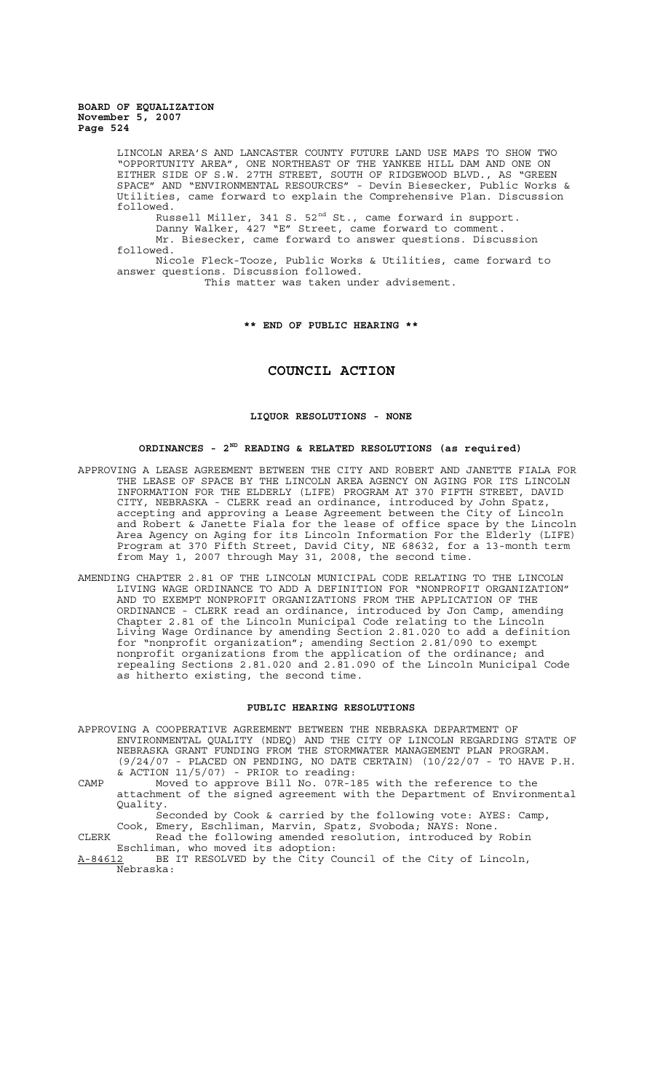> LINCOLN AREA'S AND LANCASTER COUNTY FUTURE LAND USE MAPS TO SHOW TWO "OPPORTUNITY AREA", ONE NORTHEAST OF THE YANKEE HILL DAM AND ONE ON EITHER SIDE OF S.W. 27TH STREET, SOUTH OF RIDGEWOOD BLVD., AS "GREEN SPACE" AND "ENVIRONMENTAL RESOURCES" - Devin Biesecker, Public Works & Utilities, came forward to explain the Comprehensive Plan. Discussion followed.

Russell Miller, 341 S.  $52^{\text{nd}}$  St., came forward in support.

Danny Walker, 427 "E" Street, came forward to comment. Mr. Biesecker, came forward to answer questions. Discussion followed.

Nicole Fleck-Tooze, Public Works & Utilities, came forward to answer questions. Discussion followed.

This matter was taken under advisement.

## **\*\* END OF PUBLIC HEARING \*\***

## **COUNCIL ACTION**

## **LIQUOR RESOLUTIONS - NONE**

## **ORDINANCES - 2ND READING & RELATED RESOLUTIONS (as required)**

- APPROVING A LEASE AGREEMENT BETWEEN THE CITY AND ROBERT AND JANETTE FIALA FOR THE LEASE OF SPACE BY THE LINCOLN AREA AGENCY ON AGING FOR ITS LINCOLN INFORMATION FOR THE ELDERLY (LIFE) PROGRAM AT 370 FIFTH STREET, DAVID CITY, NEBRASKA - CLERK read an ordinance, introduced by John Spatz, accepting and approving a Lease Agreement between the City of Lincoln and Robert & Janette Fiala for the lease of office space by the Lincoln Area Agency on Aging for its Lincoln Information For the Elderly (LIFE) Program at 370 Fifth Street, David City, NE 68632, for a 13-month term from May 1, 2007 through May 31, 2008, the second time.
- AMENDING CHAPTER 2.81 OF THE LINCOLN MUNICIPAL CODE RELATING TO THE LINCOLN LIVING WAGE ORDINANCE TO ADD A DEFINITION FOR "NONPROFIT ORGANIZATION" AND TO EXEMPT NONPROFIT ORGANIZATIONS FROM THE APPLICATION OF THE ORDINANCE - CLERK read an ordinance, introduced by Jon Camp, amending Chapter 2.81 of the Lincoln Municipal Code relating to the Lincoln Living Wage Ordinance by amending Section 2.81.020 to add a definition for "nonprofit organization"; amending Section 2.81/090 to exempt nonprofit organizations from the application of the ordinance; and repealing Sections 2.81.020 and 2.81.090 of the Lincoln Municipal Code as hitherto existing, the second time.

#### **PUBLIC HEARING RESOLUTIONS**

APPROVING A COOPERATIVE AGREEMENT BETWEEN THE NEBRASKA DEPARTMENT OF ENVIRONMENTAL QUALITY (NDEQ) AND THE CITY OF LINCOLN REGARDING STATE OF NEBRASKA GRANT FUNDING FROM THE STORMWATER MANAGEMENT PLAN PROGRAM. (9/24/07 - PLACED ON PENDING, NO DATE CERTAIN) (10/22/07 - TO HAVE P.H. & ACTION 11/5/07) - PRIOR to reading:

CAMP Moved to approve Bill No. 07R-185 with the reference to the attachment of the signed agreement with the Department of Environmental Quality.

Seconded by Cook & carried by the following vote: AYES: Camp, Cook, Emery, Eschliman, Marvin, Spatz, Svoboda; NAYS: None. CLERK Read the following amended resolution, introduced by Robin

Eschliman, who moved its adoption:<br>A-84612 BE IT RESOLVED by the City C

BE IT RESOLVED by the City Council of the City of Lincoln, Nebraska: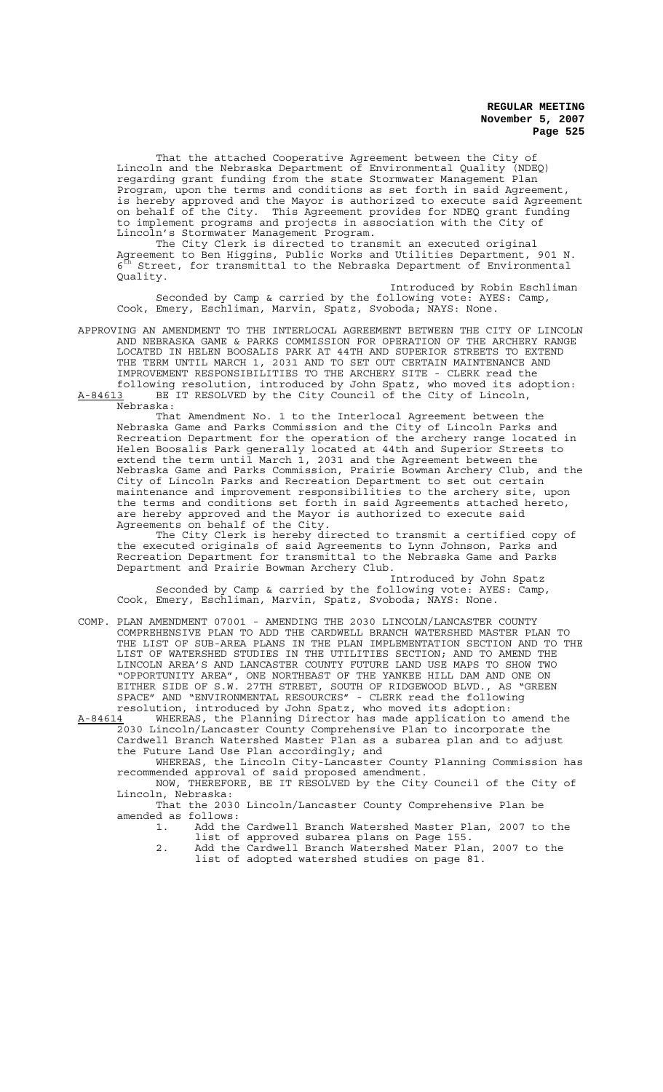That the attached Cooperative Agreement between the City of Lincoln and the Nebraska Department of Environmental Quality (NDEQ) regarding grant funding from the state Stormwater Management Plan Program, upon the terms and conditions as set forth in said Agreement, is hereby approved and the Mayor is authorized to execute said Agreement on behalf of the City. This Agreement provides for NDEQ grant funding to implement programs and projects in association with the City of Lincoln's Stormwater Management Program.

The City Clerk is directed to transmit an executed original Agreement to Ben Higgins, Public Works and Utilities Department, 901 N. Street, for transmittal to the Nebraska Department of Environmental Quality.

Introduced by Robin Eschliman<br>Ilowing vote: AYES: Camp, Seconded by Camp & carried by the following vote: Cook, Emery, Eschliman, Marvin, Spatz, Svoboda; NAYS: None.

APPROVING AN AMENDMENT TO THE INTERLOCAL AGREEMENT BETWEEN THE CITY OF LINCOLN AND NEBRASKA GAME & PARKS COMMISSION FOR OPERATION OF THE ARCHERY RANGE LOCATED IN HELEN BOOSALIS PARK AT 44TH AND SUPERIOR STREETS TO EXTEND THE TERM UNTIL MARCH 1, 2031 AND TO SET OUT CERTAIN MAINTENANCE AND IMPROVEMENT RESPONSIBILITIES TO THE ARCHERY SITE - CLERK read the following resolution, introduced by John Spatz, who moved its adoption: A-84613 BE IT RESOLVED by the City Council of the City of Lincoln,

That Amendment No. 1 to the Interlocal Agreement between the Nebraska Game and Parks Commission and the City of Lincoln Parks and Recreation Department for the operation of the archery range located in Helen Boosalis Park generally located at 44th and Superior Streets to extend the term until March 1, 2031 and the Agreement between the Nebraska Game and Parks Commission, Prairie Bowman Archery Club, and the City of Lincoln Parks and Recreation Department to set out certain maintenance and improvement responsibilities to the archery site, upon the terms and conditions set forth in said Agreements attached hereto, are hereby approved and the Mayor is authorized to execute said Agreements on behalf of the City.

The City Clerk is hereby directed to transmit a certified copy of the executed originals of said Agreements to Lynn Johnson, Parks and Recreation Department for transmittal to the Nebraska Game and Parks Department and Prairie Bowman Archery Club.

Introduced by John Spatz Seconded by Camp & carried by the following vote: AYES: Camp, Cook, Emery, Eschliman, Marvin, Spatz, Svoboda; NAYS: None.

COMP. PLAN AMENDMENT 07001 - AMENDING THE 2030 LINCOLN/LANCASTER COUNTY COMPREHENSIVE PLAN TO ADD THE CARDWELL BRANCH WATERSHED MASTER PLAN TO THE LIST OF SUB-AREA PLANS IN THE PLAN IMPLEMENTATION SECTION AND TO THE LIST OF WATERSHED STUDIES IN THE UTILITIES SECTION; AND TO AMEND THE LINCOLN AREA'S AND LANCASTER COUNTY FUTURE LAND USE MAPS TO SHOW TWO "OPPORTUNITY AREA", ONE NORTHEAST OF THE YANKEE HILL DAM AND ONE ON EITHER SIDE OF S.W. 27TH STREET, SOUTH OF RIDGEWOOD BLVD., AS "GREEN SPACE" AND "ENVIRONMENTAL RESOURCES" - CLERK read the following resolution, introduced by John Spatz, who moved its adoption:

A-84614 MHEREAS, the Planning Director has made application to amend the 2030 Lincoln/Lancaster County Comprehensive Plan to incorporate the Cardwell Branch Watershed Master Plan as a subarea plan and to adjust the Future Land Use Plan accordingly; and

WHEREAS, the Lincoln City-Lancaster County Planning Commission has recommended approval of said proposed amendment.

NOW, THEREFORE, BE IT RESOLVED by the City Council of the City of Lincoln, Nebraska:

That the 2030 Lincoln/Lancaster County Comprehensive Plan be amended as follows:

- 1. Add the Cardwell Branch Watershed Master Plan, 2007 to the list of approved subarea plans on Page 155.
- 2. Add the Cardwell Branch Watershed Mater Plan, 2007 to the list of adopted watershed studies on page 81.

Nebraska: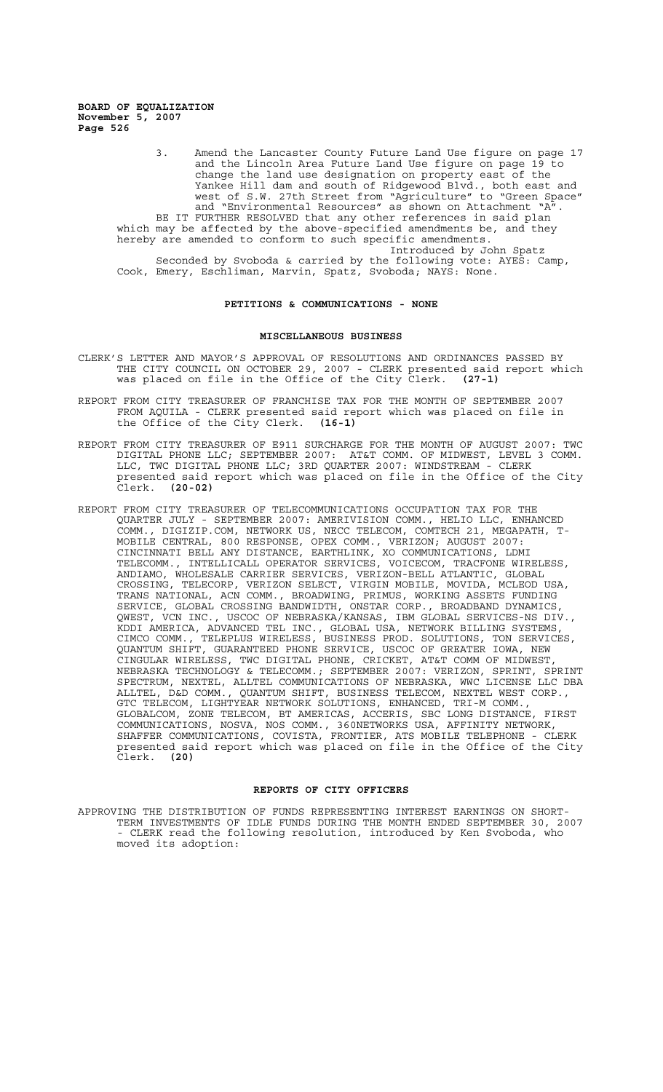> 3. Amend the Lancaster County Future Land Use figure on page 17 and the Lincoln Area Future Land Use figure on page 19 to change the land use designation on property east of the Yankee Hill dam and south of Ridgewood Blvd., both east and west of S.W. 27th Street from "Agriculture" to "Green Space" and "Environmental Resources" as shown on Attachment "A". BE IT FURTHER RESOLVED that any other references in said plan which may be affected by the above-specified amendments be, and they hereby are amended to conform to such specific amendments. Introduced by John Spatz Seconded by Svoboda & carried by the following vote: AYES: Camp, Cook, Emery, Eschliman, Marvin, Spatz, Svoboda; NAYS: None.

## **PETITIONS & COMMUNICATIONS - NONE**

### **MISCELLANEOUS BUSINESS**

- CLERK'S LETTER AND MAYOR'S APPROVAL OF RESOLUTIONS AND ORDINANCES PASSED BY THE CITY COUNCIL ON OCTOBER 29, 2007 - CLERK presented said report which was placed on file in the Office of the City Clerk. **(27-1)**
- REPORT FROM CITY TREASURER OF FRANCHISE TAX FOR THE MONTH OF SEPTEMBER 2007 FROM AQUILA - CLERK presented said report which was placed on file in<br>the Office of the City Clerk. (16-1) the Office of the City Clerk.
- REPORT FROM CITY TREASURER OF E911 SURCHARGE FOR THE MONTH OF AUGUST 2007: TWC DIGITAL PHONE LLC; SEPTEMBER 2007: AT&T COMM. OF MIDWEST, LEVEL 3 COMM. LLC, TWC DIGITAL PHONE LLC; 3RD QUARTER 2007: WINDSTREAM - CLERK presented said report which was placed on file in the Office of the City Clerk. **(20-02)**
- REPORT FROM CITY TREASURER OF TELECOMMUNICATIONS OCCUPATION TAX FOR THE QUARTER JULY - SEPTEMBER 2007: AMERIVISION COMM., HELIO LLC, ENHANCED COMM., DIGIZIP.COM, NETWORK US, NECC TELECOM, COMTECH 21, MEGAPATH, T-MOBILE CENTRAL, 800 RESPONSE, OPEX COMM., VERIZON; AUGUST 2007: CINCINNATI BELL ANY DISTANCE, EARTHLINK, XO COMMUNICATIONS, LDMI TELECOMM., INTELLICALL OPERATOR SERVICES, VOICECOM, TRACFONE WIRELESS, ANDIAMO, WHOLESALE CARRIER SERVICES, VERIZON-BELL ATLANTIC, GLOBAL<br>CROSSING, TELECORP, VERIZON SELECT, VIRGIN MOBILE, MOVIDA, MCLEOD USA, CROSSING, TELECORP, VERIZON SELECT, VIRGIN MOBILE, MOVIDA, MCLEOD USA, TRANS NATIONAL, ACN COMM., BROADWING, PRIMUS, WORKING ASSETS FUNDING SERVICE, GLOBAL CROSSING BANDWIDTH, ONSTAR CORP., BROADBAND DYNAMICS, QWEST, VCN INC., USCOC OF NEBRASKA/KANSAS, IBM GLOBAL SERVICES-NS DIV., KDDI AMERICA, ADVANCED TEL INC., GLOBAL USA, NETWORK BILLING SYSTEMS, CIMCO COMM., TELEPLUS WIRELESS, BUSINESS PROD. SOLUTIONS, TON SERVICES, QUANTUM SHIFT, GUARANTEED PHONE SERVICE, USCOC OF GREATER IOWA, NEW CINGULAR WIRELESS, TWC DIGITAL PHONE, CRICKET, AT&T COMM OF MIDWEST, NEBRASKA TECHNOLOGY & TELECOMM.; SEPTEMBER 2007: VERIZON, SPRINT, SPRINT SPECTRUM, NEXTEL, ALLTEL COMMUNICATIONS OF NEBRASKA, WWC LICENSE LLC DBA ALLTEL, D&D COMM., QUANTUM SHIFT, BUSINESS TELECOM, NEXTEL WEST CORP., GTC TELECOM, LIGHTYEAR NETWORK SOLUTIONS, ENHANCED, TRI-M COMM., GLOBALCOM, ZONE TELECOM, BT AMERICAS, ACCERIS, SBC LONG DISTANCE, FIRST COMMUNICATIONS, NOSVA, NOS COMM., 360NETWORKS USA, AFFINITY NETWORK, SHAFFER COMMUNICATIONS, COVISTA, FRONTIER, ATS MOBILE TELEPHONE - CLERK presented said report which was placed on file in the Office of the City Clerk. **(20)**

#### **REPORTS OF CITY OFFICERS**

APPROVING THE DISTRIBUTION OF FUNDS REPRESENTING INTEREST EARNINGS ON SHORT-TERM INVESTMENTS OF IDLE FUNDS DURING THE MONTH ENDED SEPTEMBER 30, 2007 - CLERK read the following resolution, introduced by Ken Svoboda, who moved its adoption: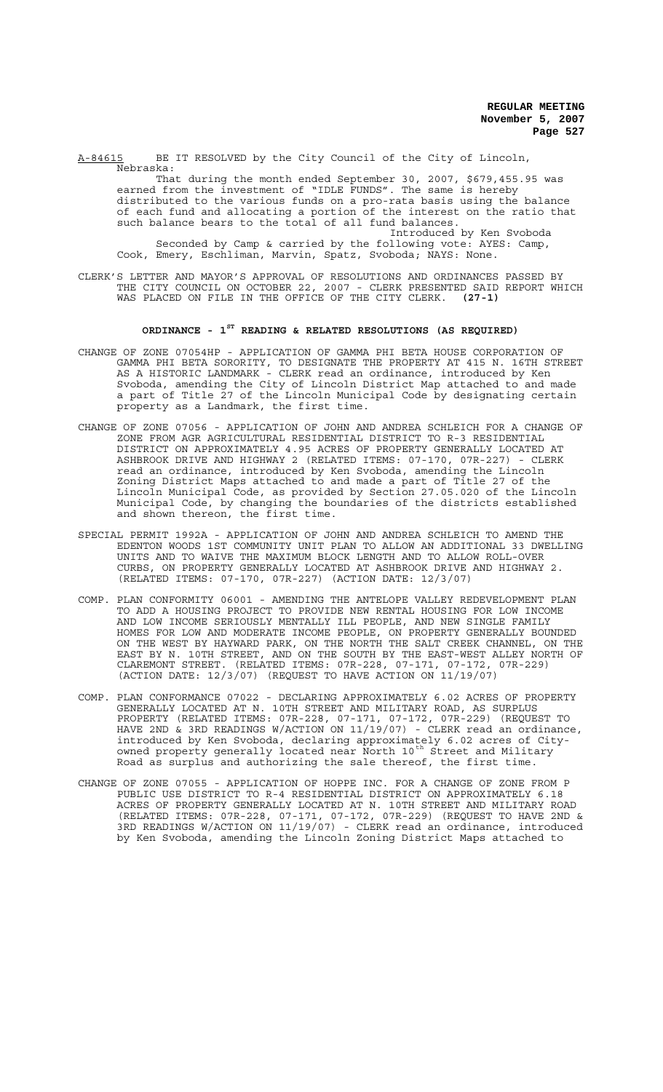A-84615 BE IT RESOLVED by the City Council of the City of Lincoln, Nebraska:

That during the month ended September 30, 2007, \$679,455.95 was earned from the investment of "IDLE FUNDS". The same is hereby distributed to the various funds on a pro-rata basis using the balance of each fund and allocating a portion of the interest on the ratio that such balance bears to the total of all fund balances. Introduced by Ken Svoboda

Seconded by Camp & carried by the following vote: AYES: Camp, Cook, Emery, Eschliman, Marvin, Spatz, Svoboda; NAYS: None.

CLERK'S LETTER AND MAYOR'S APPROVAL OF RESOLUTIONS AND ORDINANCES PASSED BY THE CITY COUNCIL ON OCTOBER 22, 2007 - CLERK PRESENTED SAID REPORT WHICH WAS PLACED ON FILE IN THE OFFICE OF THE CITY CLERK. **(27-1)**

# **ORDINANCE - 1ST READING & RELATED RESOLUTIONS (AS REQUIRED)**

- CHANGE OF ZONE 07054HP APPLICATION OF GAMMA PHI BETA HOUSE CORPORATION OF GAMMA PHI BETA SORORITY, TO DESIGNATE THE PROPERTY AT 415 N. 16TH STREET AS A HISTORIC LANDMARK - CLERK read an ordinance, introduced by Ken Svoboda, amending the City of Lincoln District Map attached to and made a part of Title 27 of the Lincoln Municipal Code by designating certain property as a Landmark, the first time.
- CHANGE OF ZONE 07056 APPLICATION OF JOHN AND ANDREA SCHLEICH FOR A CHANGE OF ZONE FROM AGR AGRICULTURAL RESIDENTIAL DISTRICT TO R-3 RESIDENTIAL DISTRICT ON APPROXIMATELY 4.95 ACRES OF PROPERTY GENERALLY LOCATED AT ASHBROOK DRIVE AND HIGHWAY 2 (RELATED ITEMS: 07-170, 07R-227) - CLERK read an ordinance, introduced by Ken Svoboda, amending the Lincoln Zoning District Maps attached to and made a part of Title 27 of the Lincoln Municipal Code, as provided by Section 27.05.020 of the Lincoln Municipal Code, by changing the boundaries of the districts established and shown thereon, the first time.
- SPECIAL PERMIT 1992A APPLICATION OF JOHN AND ANDREA SCHLEICH TO AMEND THE EDENTON WOODS 1ST COMMUNITY UNIT PLAN TO ALLOW AN ADDITIONAL 33 DWELLING UNITS AND TO WAIVE THE MAXIMUM BLOCK LENGTH AND TO ALLOW ROLL-OVER ON PROPERTY GENERALLY LOCATED AT ASHBROOK DRIVE AND HIGHWAY 2. (RELATED ITEMS: 07-170, 07R-227) (ACTION DATE: 12/3/07)
- COMP. PLAN CONFORMITY 06001 AMENDING THE ANTELOPE VALLEY REDEVELOPMENT PLAN TO ADD A HOUSING PROJECT TO PROVIDE NEW RENTAL HOUSING FOR LOW INCOME AND LOW INCOME SERIOUSLY MENTALLY ILL PEOPLE, AND NEW SINGLE FAMILY HOMES FOR LOW AND MODERATE INCOME PEOPLE, ON PROPERTY GENERALLY BOUNDED ON THE WEST BY HAYWARD PARK, ON THE NORTH THE SALT CREEK CHANNEL, ON THE EAST BY N. 10TH STREET, AND ON THE SOUTH BY THE EAST-WEST ALLEY NORTH OF CLAREMONT STREET. (RELATED ITEMS: 07R-228, 07-171, 07-172, 07R-229) (ACTION DATE: 12/3/07) (REQUEST TO HAVE ACTION ON 11/19/07)
- COMP. PLAN CONFORMANCE 07022 DECLARING APPROXIMATELY 6.02 ACRES OF PROPERTY GENERALLY LOCATED AT N. 10TH STREET AND MILITARY ROAD, AS SURPLUS PROPERTY (RELATED ITEMS: 07R-228, 07-171, 07-172, 07R-229) (REQUEST TO HAVE 2ND & 3RD READINGS W/ACTION ON 11/19/07) - CLERK read an ordinance, introduced by Ken Svoboda, declaring approximately 6.02 acres of Cityowned property generally located near North 10<sup>th</sup> Street and Military Road as surplus and authorizing the sale thereof, the first time.
- CHANGE OF ZONE 07055 APPLICATION OF HOPPE INC. FOR A CHANGE OF ZONE FROM P PUBLIC USE DISTRICT TO R-4 RESIDENTIAL DISTRICT ON APPROXIMATELY 6.18 ACRES OF PROPERTY GENERALLY LOCATED AT N. 10TH STREET AND MILITARY ROAD (RELATED ITEMS: 07R-228, 07-171, 07-172, 07R-229) (REQUEST TO HAVE 2ND & 3RD READINGS W/ACTION ON 11/19/07) - CLERK read an ordinance, introduced by Ken Svoboda, amending the Lincoln Zoning District Maps attached to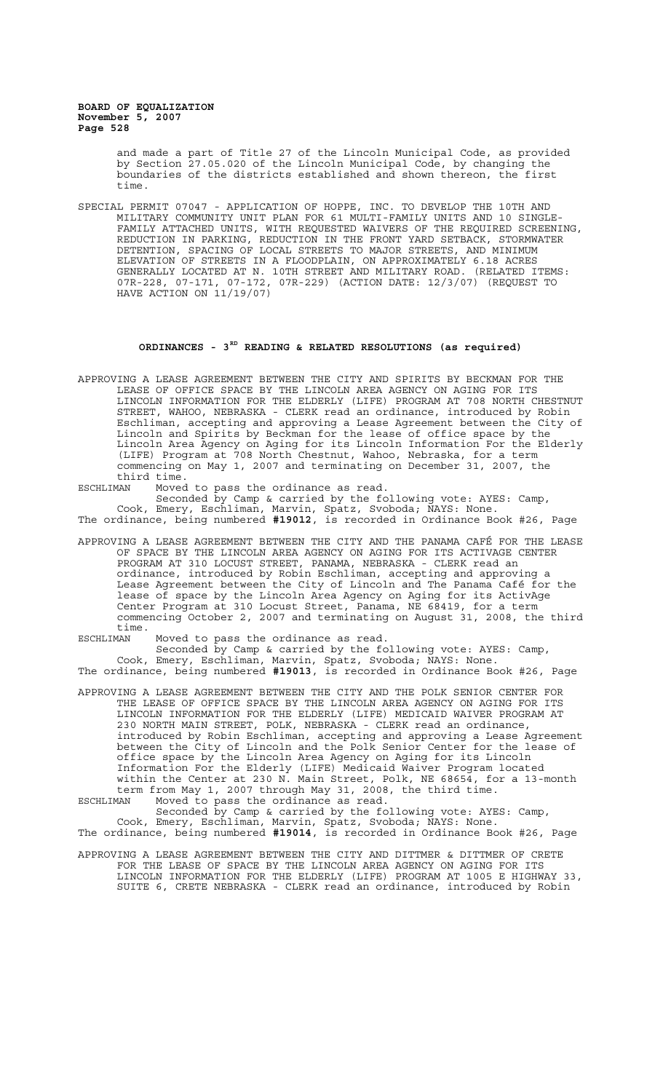> and made a part of Title 27 of the Lincoln Municipal Code, as provided by Section 27.05.020 of the Lincoln Municipal Code, by changing the boundaries of the districts established and shown thereon, the first time.

SPECIAL PERMIT 07047 - APPLICATION OF HOPPE, INC. TO DEVELOP THE 10TH AND MILITARY COMMUNITY UNIT PLAN FOR 61 MULTI-FAMILY UNITS AND 10 SINGLE-FAMILY ATTACHED UNITS, WITH REQUESTED WAIVERS OF THE REQUIRED SCREENING, REDUCTION IN PARKING, REDUCTION IN THE FRONT YARD SETBACK, STORMWATER DETENTION, SPACING OF LOCAL STREETS TO MAJOR STREETS, AND MINIMUM ELEVATION OF STREETS IN A FLOODPLAIN, ON APPROXIMATELY 6.18 ACRES GENERALLY LOCATED AT N. 10TH STREET AND MILITARY ROAD. (RELATED ITEMS: 07R-228, 07-171, 07-172, 07R-229) (ACTION DATE: 12/3/07) (REQUEST TO HAVE ACTION ON 11/19/07)

#### **ORDINANCES - 3RD READING & RELATED RESOLUTIONS (as required)**

APPROVING A LEASE AGREEMENT BETWEEN THE CITY AND SPIRITS BY BECKMAN FOR THE LEASE OF OFFICE SPACE BY THE LINCOLN AREA AGENCY ON AGING FOR ITS LINCOLN INFORMATION FOR THE ELDERLY (LIFE) PROGRAM AT 708 NORTH CHESTNUT STREET, WAHOO, NEBRASKA - CLERK read an ordinance, introduced by Robin Eschliman, accepting and approving a Lease Agreement between the City of Lincoln and Spirits by Beckman for the lease of office space by the Lincoln Area Agency on Aging for its Lincoln Information For the Elderly (LIFE) Program at 708 North Chestnut, Wahoo, Nebraska, for a term commencing on May 1, 2007 and terminating on December 31, 2007, the third time.<br>ESCHLIMAN Moved

ESCHLIMAN Moved to pass the ordinance as read.

Seconded by Camp & carried by the following vote: AYES: Camp, Cook, Emery, Eschliman, Marvin, Spatz, Svoboda; NAYS: None. The ordinance, being numbered **#19012**, is recorded in Ordinance Book #26, Page

APPROVING A LEASE AGREEMENT BETWEEN THE CITY AND THE PANAMA CAFÉ FOR THE LEASE OF SPACE BY THE LINCOLN AREA AGENCY ON AGING FOR ITS ACTIVAGE CENTER PROGRAM AT 310 LOCUST STREET, PANAMA, NEBRASKA - CLERK read an ordinance, introduced by Robin Eschliman, accepting and approving a Lease Agreement between the City of Lincoln and The Panama Café for the lease of space by the Lincoln Area Agency on Aging for its ActivAge Center Program at 310 Locust Street, Panama, NE 68419, for a term commencing October 2, 2007 and terminating on August 31, 2008, the third time.

ESCHLIMAN Moved to pass the ordinance as read.

Seconded by Camp & carried by the following vote: AYES: Camp, Cook, Emery, Eschliman, Marvin, Spatz, Svoboda; NAYS: None. The ordinance, being numbered **#19013**, is recorded in Ordinance Book #26, Page

APPROVING A LEASE AGREEMENT BETWEEN THE CITY AND THE POLK SENIOR CENTER FOR THE LEASE OF OFFICE SPACE BY THE LINCOLN AREA AGENCY ON AGING FOR ITS LINCOLN INFORMATION FOR THE ELDERLY (LIFE) MEDICAID WAIVER PROGRAM AT 230 NORTH MAIN STREET, POLK, NEBRASKA - CLERK read an ordinance, introduced by Robin Eschliman, accepting and approving a Lease Agreement between the City of Lincoln and the Polk Senior Center for the lease of office space by the Lincoln Area Agency on Aging for its Lincoln Information For the Elderly (LIFE) Medicaid Waiver Program located within the Center at 230 N. Main Street, Polk, NE 68654, for a 13-month term from May 1, 2007 through May 31, 2008, the third time. ESCHLIMAN Moved to pass the ordinance as read.

Seconded by Camp & carried by the following vote: AYES: Camp, Cook, Emery, Eschliman, Marvin, Spatz, Svoboda; NAYS: None. The ordinance, being numbered **#19014**, is recorded in Ordinance Book #26, Page

APPROVING A LEASE AGREEMENT BETWEEN THE CITY AND DITTMER & DITTMER OF CRETE FOR THE LEASE OF SPACE BY THE LINCOLN AREA AGENCY ON AGING FOR ITS LINCOLN INFORMATION FOR THE ELDERLY (LIFE) PROGRAM AT 1005 E HIGHWAY 33, SUITE 6, CRETE NEBRASKA - CLERK read an ordinance, introduced by Robin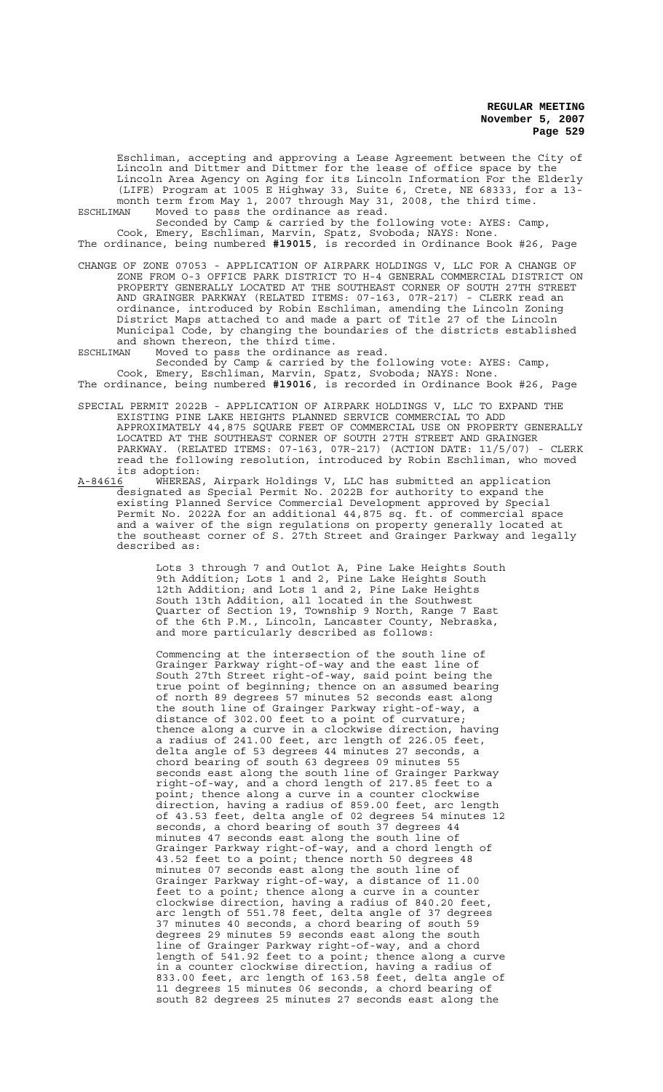Eschliman, accepting and approving a Lease Agreement between the City of Lincoln and Dittmer and Dittmer for the lease of office space by the Lincoln Area Agency on Aging for its Lincoln Information For the Elderly (LIFE) Program at 1005 E Highway 33, Suite 6, Crete, NE 68333, for a 13 month term from May 1, 2007 through May 31, 2008, the third time. ESCHLIMAN Moved to pass the ordinance as read.

Seconded by Camp & carried by the following vote: AYES: Camp, Cook, Emery, Eschliman, Marvin, Spatz, Svoboda; NAYS: None. The ordinance, being numbered **#19015**, is recorded in Ordinance Book #26, Page

CHANGE OF ZONE 07053 - APPLICATION OF AIRPARK HOLDINGS V, LLC FOR A CHANGE OF ZONE FROM O-3 OFFICE PARK DISTRICT TO H-4 GENERAL COMMERCIAL DISTRICT ON PROPERTY GENERALLY LOCATED AT THE SOUTHEAST CORNER OF SOUTH 27TH STREET AND GRAINGER PARKWAY (RELATED ITEMS: 07-163, 07R-217) - CLERK read an ordinance, introduced by Robin Eschliman, amending the Lincoln Zoning District Maps attached to and made a part of Title 27 of the Lincoln

Municipal Code, by changing the boundaries of the districts established and shown thereon, the third time. ESCHLIMAN Moved to pass the ordinance as read.

Seconded by Camp & carried by the following vote: AYES: Camp, Cook, Emery, Eschliman, Marvin, Spatz, Svoboda; NAYS: None. The ordinance, being numbered **#19016**, is recorded in Ordinance Book #26, Page

- SPECIAL PERMIT 2022B APPLICATION OF AIRPARK HOLDINGS V, LLC TO EXPAND THE EXISTING PINE LAKE HEIGHTS PLANNED SERVICE COMMERCIAL TO ADD APPROXIMATELY 44,875 SQUARE FEET OF COMMERCIAL USE ON PROPERTY GENERALLY LOCATED AT THE SOUTHEAST CORNER OF SOUTH 27TH STREET AND GRAINGER PARKWAY. (RELATED ITEMS: 07-163, 07R-217) (ACTION DATE: 11/5/07) - CLERK read the following resolution, introduced by Robin Eschliman, who moved its adoption:<br>A-84616 WHEREAS
- A-84616 MHEREAS, Airpark Holdings V, LLC has submitted an application designated as Special Permit No. 2022B for authority to expand the existing Planned Service Commercial Development approved by Special Permit No. 2022A for an additional 44,875 sq. ft. of commercial space and a waiver of the sign regulations on property generally located at the southeast corner of S. 27th Street and Grainger Parkway and legally described as:

Lots 3 through 7 and Outlot A, Pine Lake Heights South 9th Addition; Lots 1 and 2, Pine Lake Heights South 12th Addition; and Lots 1 and 2, Pine Lake Heights South 13th Addition, all located in the Southwest Quarter of Section 19, Township 9 North, Range 7 East of the 6th P.M., Lincoln, Lancaster County, Nebraska, and more particularly described as follows:

Commencing at the intersection of the south line of Grainger Parkway right-of-way and the east line of South 27th Street right-of-way, said point being the true point of beginning; thence on an assumed bearing of north 89 degrees 57 minutes 52 seconds east along the south line of Grainger Parkway right-of-way, a distance of 302.00 feet to a point of curvature; thence along a curve in a clockwise direction, having a radius of 241.00 feet, arc length of 226.05 feet, delta angle of 53 degrees 44 minutes 27 seconds, a chord bearing of south 63 degrees 09 minutes 55 seconds east along the south line of Grainger Parkway right-of-way, and a chord length of 217.85 feet to a point; thence along a curve in a counter clockwise direction, having a radius of 859.00 feet, arc length of 43.53 feet, delta angle of 02 degrees 54 minutes 12 seconds, a chord bearing of south 37 degrees 44 minutes 47 seconds east along the south line of Grainger Parkway right-of-way, and a chord length of 43.52 feet to a point; thence north 50 degrees 48 minutes 07 seconds east along the south line of Grainger Parkway right-of-way, a distance of 11.00 feet to a point; thence along a curve in a counter clockwise direction, having a radius of 840.20 feet, arc length of 551.78 feet, delta angle of 37 degrees 37 minutes 40 seconds, a chord bearing of south 59 degrees 29 minutes 59 seconds east along the south line of Grainger Parkway right-of-way, and a chord length of 541.92 feet to a point; thence along a curve in a counter clockwise direction, having a radius of 833.00 feet, arc length of 163.58 feet, delta angle of 11 degrees 15 minutes 06 seconds, a chord bearing of south 82 degrees 25 minutes 27 seconds east along the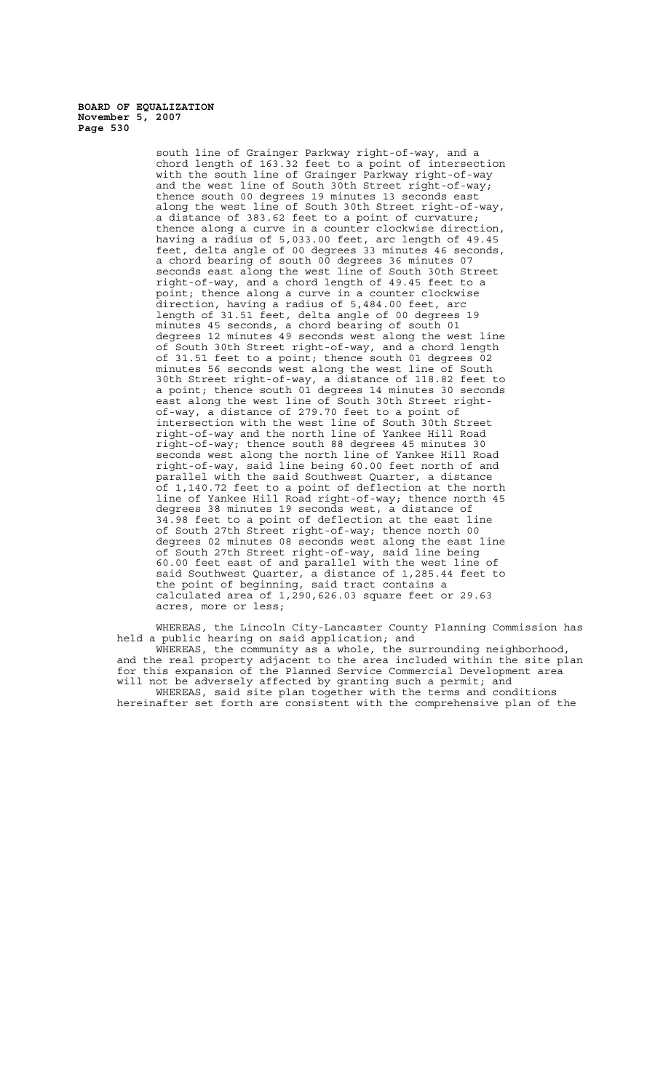> south line of Grainger Parkway right-of-way, and a chord length of 163.32 feet to a point of intersection with the south line of Grainger Parkway right-of-way and the west line of South 30th Street right-of-way; thence south 00 degrees 19 minutes 13 seconds east along the west line of South 30th Street right-of-way, a distance of 383.62 feet to a point of curvature; thence along a curve in a counter clockwise direction, having a radius of 5,033.00 feet, arc length of 49.45 feet, delta angle of 00 degrees 33 minutes 46 seconds, a chord bearing of south 00 degrees 36 minutes 07 seconds east along the west line of South 30th Street right-of-way, and a chord length of 49.45 feet to a point; thence along a curve in a counter clockwise direction, having a radius of 5,484.00 feet, arc length of 31.51 feet, delta angle of 00 degrees 19 minutes 45 seconds, a chord bearing of south 01 degrees 12 minutes 49 seconds west along the west line of South 30th Street right-of-way, and a chord length of 31.51 feet to a point; thence south 01 degrees 02 minutes 56 seconds west along the west line of South 30th Street right-of-way, a distance of 118.82 feet to a point; thence south 01 degrees 14 minutes 30 seconds east along the west line of South 30th Street rightof-way, a distance of 279.70 feet to a point of intersection with the west line of South 30th Street right-of-way and the north line of Yankee Hill Road right-of-way; thence south 88 degrees 45 minutes 30 seconds west along the north line of Yankee Hill Road right-of-way, said line being 60.00 feet north of and parallel with the said Southwest Quarter, a distance of 1,140.72 feet to a point of deflection at the north line of Yankee Hill Road right-of-way; thence north 45 degrees 38 minutes 19 seconds west, a distance of 34.98 feet to a point of deflection at the east line of South 27th Street right-of-way; thence north 00 degrees 02 minutes 08 seconds west along the east line of South 27th Street right-of-way, said line being 60.00 feet east of and parallel with the west line of said Southwest Quarter, a distance of 1,285.44 feet to the point of beginning, said tract contains a calculated area of 1,290,626.03 square feet or 29.63 acres, more or less;

WHEREAS, the Lincoln City-Lancaster County Planning Commission has held a public hearing on said application; and WHEREAS, the community as a whole, the surrounding neighborhood, and the real property adjacent to the area included within the site plan for this expansion of the Planned Service Commercial Development area will not be adversely affected by granting such a permit; and

WHEREAS, said site plan together with the terms and conditions hereinafter set forth are consistent with the comprehensive plan of the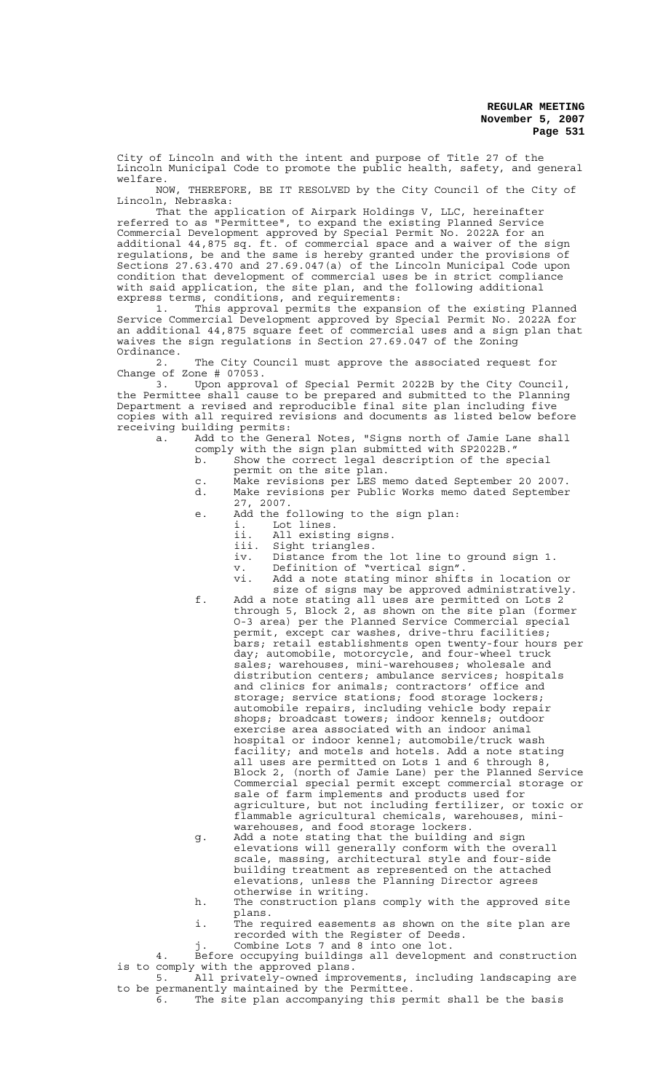City of Lincoln and with the intent and purpose of Title 27 of the Lincoln Municipal Code to promote the public health, safety, and general welfare.<br>NOW,

THEREFORE, BE IT RESOLVED by the City Council of the City of Lincoln, Nebraska:

That the application of Airpark Holdings V, LLC, hereinafter referred to as "Permittee", to expand the existing Planned Service Commercial Development approved by Special Permit No. 2022A for an additional 44,875 sq. ft. of commercial space and a waiver of the sign regulations, be and the same is hereby granted under the provisions of Sections 27.63.470 and 27.69.047(a) of the Lincoln Municipal Code upon condition that development of commercial uses be in strict compliance with said application, the site plan, and the following additional express terms, conditions, and requirements:

1. This approval permits the expansion of the existing Planned Service Commercial Development approved by Special Permit No. 2022A for an additional 44,875 square feet of commercial uses and a sign plan that waives the sign regulations in Section 27.69.047 of the Zoning Ordinance.

2. The City Council must approve the associated request for Change of Zone  $\#$  07053.<br>3. Upon approv

Upon approval of Special Permit 2022B by the City Council, the Permittee shall cause to be prepared and submitted to the Planning Department a revised and reproducible final site plan including five copies with all required revisions and documents as listed below before receiving building permits:

a. Add to the General Notes, "Signs north of Jamie Lane shall comply with the sign plan submitted with SP2022B."

- b. Show the correct legal description of the special permit on the site plan.
- c. Make revisions per LES memo dated September 20 2007. d. Make revisions per Public Works memo dated September 27, 2007.
- e. Add the following to the sign plan:
	- i. Lot lines.
	- ii. All existing signs.
	- iii. Sight triangles.<br>iv. Distance from th
	- iv. Distance from the lot line to ground sign 1.
	- v. Definition of "vertical sign".
	- vi. Add a note stating minor shifts in location or size of signs may be approved administratively.
- f. Add a note stating all uses are permitted on Lots 2 through 5, Block 2, as shown on the site plan (former O-3 area) per the Planned Service Commercial special permit, except car washes, drive-thru facilities; bars; retail establishments open twenty-four hours per day; automobile, motorcycle, and four-wheel truck sales; warehouses, mini-warehouses; wholesale and distribution centers; ambulance services; hospitals and clinics for animals; contractors' office and storage; service stations; food storage lockers; automobile repairs, including vehicle body repair shops; broadcast towers; indoor kennels; outdoor exercise area associated with an indoor animal hospital or indoor kennel; automobile/truck wash facility; and motels and hotels. Add a note stating all uses are permitted on Lots 1 and 6 through 8, Block 2, (north of Jamie Lane) per the Planned Service Commercial special permit except commercial storage or sale of farm implements and products used for agriculture, but not including fertilizer, or toxic or flammable agricultural chemicals, warehouses, miniwarehouses, and food storage lockers.
- g. Add a note stating that the building and sign elevations will generally conform with the overall scale, massing, architectural style and four-side building treatment as represented on the attached elevations, unless the Planning Director agrees otherwise in writing.
- h. The construction plans comply with the approved site plans.
- i. The required easements as shown on the site plan are recorded with the Register of Deeds.
- j. Combine Lots 7 and 8 into one lot.
- 4. Before occupying buildings all development and construction is to comply with the approved plans.
- 5. All privately-owned improvements, including landscaping are to be permanently maintained by the Permittee.
	- 6. The site plan accompanying this permit shall be the basis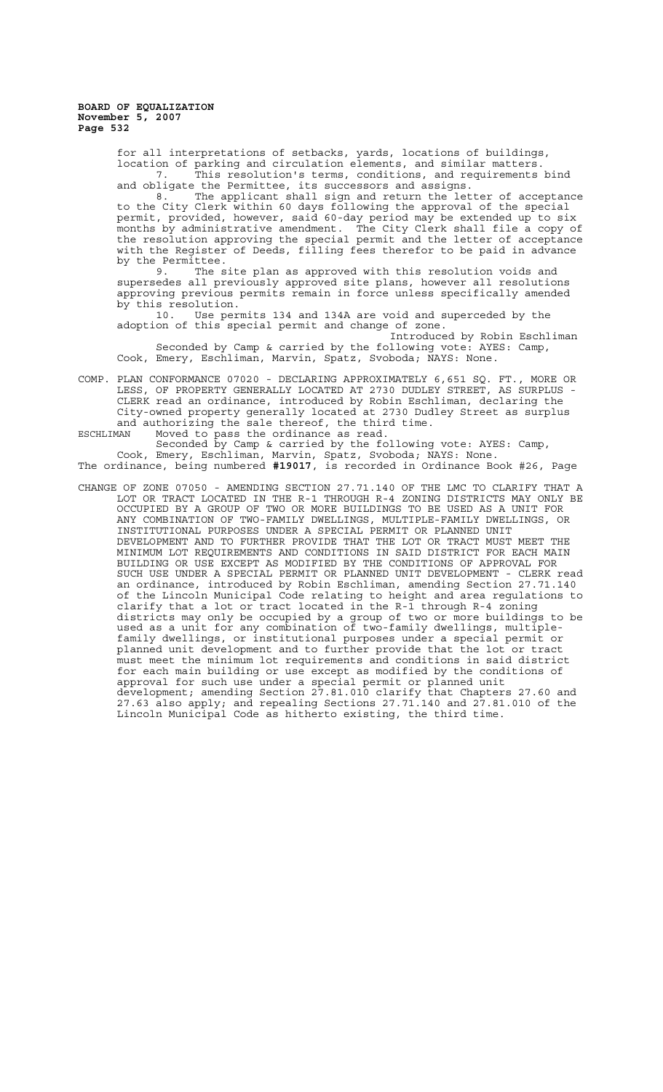> for all interpretations of setbacks, yards, locations of buildings, location of parking and circulation elements, and similar matters. 7. This resolution's terms, conditions, and requirements bind and obligate the Permittee, its successors and assigns.

8. The applicant shall sign and return the letter of acceptance to the City Clerk within 60 days following the approval of the special permit, provided, however, said 60-day period may be extended up to six months by administrative amendment. The City Clerk shall file a copy of the resolution approving the special permit and the letter of acceptance with the Register of Deeds, filling fees therefor to be paid in advance by the Permittee.<br>9 The s

The site plan as approved with this resolution voids and supersedes all previously approved site plans, however all resolutions approving previous permits remain in force unless specifically amended by this resolution.<br>10. Use per

Use permits 134 and 134A are void and superceded by the adoption of this special permit and change of zone.

Introduced by Robin Eschliman Seconded by Camp & carried by the following vote: AYES: Camp, Cook, Emery, Eschliman, Marvin, Spatz, Svoboda; NAYS: None.

COMP. PLAN CONFORMANCE 07020 - DECLARING APPROXIMATELY 6,651 SQ. FT., MORE OR LESS, OF PROPERTY GENERALLY LOCATED AT 2730 DUDLEY STREET, AS SURPLUS - CLERK read an ordinance, introduced by Robin Eschliman, declaring the City-owned property generally located at 2730 Dudley Street as surplus and authorizing the sale thereof, the third time.

ESCHLIMAN Moved to pass the ordinance as read.

Seconded by Camp & carried by the following vote: AYES: Camp, Cook, Emery, Eschliman, Marvin, Spatz, Svoboda; NAYS: None. The ordinance, being numbered **#19017**, is recorded in Ordinance Book #26, Page

CHANGE OF ZONE 07050 - AMENDING SECTION 27.71.140 OF THE LMC TO CLARIFY THAT A LOT OR TRACT LOCATED IN THE R-1 THROUGH R-4 ZONING DISTRICTS MAY ONLY BE OCCUPIED BY A GROUP OF TWO OR MORE BUILDINGS TO BE USED AS A UNIT FOR ANY COMBINATION OF TWO-FAMILY DWELLINGS, MULTIPLE-FAMILY DWELLINGS, OR INSTITUTIONAL PURPOSES UNDER A SPECIAL PERMIT OR PLANNED UNIT DEVELOPMENT AND TO FURTHER PROVIDE THAT THE LOT OR TRACT MUST MEET THE MINIMUM LOT REQUIREMENTS AND CONDITIONS IN SAID DISTRICT FOR EACH MAIN BUILDING OR USE EXCEPT AS MODIFIED BY THE CONDITIONS OF APPROVAL FOR SUCH USE UNDER A SPECIAL PERMIT OR PLANNED UNIT DEVELOPMENT - CLERK read an ordinance, introduced by Robin Eschliman, amending Section 27.71.140 of the Lincoln Municipal Code relating to height and area regulations to clarify that a lot or tract located in the R-1 through R-4 zoning districts may only be occupied by a group of two or more buildings to be used as a unit for any combination of two-family dwellings, multiplefamily dwellings, or institutional purposes under a special permit or planned unit development and to further provide that the lot or tract must meet the minimum lot requirements and conditions in said district for each main building or use except as modified by the conditions of approval for such use under a special permit or planned unit development; amending Section 27.81.010 clarify that Chapters 27.60 and 27.63 also apply; and repealing Sections 27.71.140 and 27.81.010 of the Lincoln Municipal Code as hitherto existing, the third time.